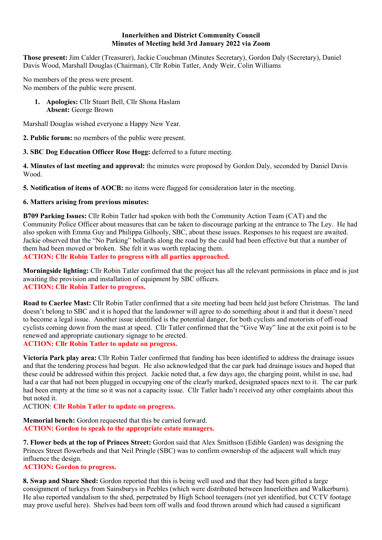### Innerleithen and District Community Council Minutes of Meeting held 3rd January 2022 via Zoom

Those present: Jim Calder (Treasurer), Jackie Couchman (Minutes Secretary), Gordon Daly (Secretary), Daniel Davis Wood, Marshall Douglas (Chairman), Cllr Robin Tatler, Andy Weir, Colin Williams

No members of the press were present. No members of the public were present.

> 1. Apologies: Cllr Stuart Bell, Cllr Shona Haslam Absent: George Brown

Marshall Douglas wished everyone a Happy New Year.

2. Public forum: no members of the public were present.

3. SBC Dog Education Officer Rose Hogg: deferred to a future meeting.

4. Minutes of last meeting and approval: the minutes were proposed by Gordon Daly, seconded by Daniel Davis Wood.

5. Notification of items of AOCB: no items were flagged for consideration later in the meeting.

# 6. Matters arising from previous minutes:

B709 Parking Issues: Cllr Robin Tatler had spoken with both the Community Action Team (CAT) and the Community Police Officer about measures that can be taken to discourage parking at the entrance to The Ley. He had also spoken with Emma Guy and Philippa Gilhooly, SBC, about these issues. Responses to his request are awaited. Jackie observed that the "No Parking" bollards along the road by the cauld had been effective but that a number of them had been moved or broken. She felt it was worth replacing them.

ACTION: Cllr Robin Tatler to progress with all parties approached.

Morningside lighting: Cllr Robin Tatler confirmed that the project has all the relevant permissions in place and is just awaiting the provision and installation of equipment by SBC officers. ACTION: Cllr Robin Tatler to progress.

Road to Caerlee Mast: Cllr Robin Tatler confirmed that a site meeting had been held just before Christmas. The land doesn't belong to SBC and it is hoped that the landowner will agree to do something about it and that it doesn't need to become a legal issue. Another issue identified is the potential danger, for both cyclists and motorists of off-road cyclists coming down from the mast at speed. Cllr Tatler confirmed that the "Give Way" line at the exit point is to be renewed and appropriate cautionary signage to be erected. ACTION: Cllr Robin Tatler to update on progress.

Victoria Park play area: Cllr Robin Tatler confirmed that funding has been identified to address the drainage issues and that the tendering process had begun. He also acknowledged that the car park had drainage issues and hoped that these could be addressed within this project. Jackie noted that, a few days ago, the charging point, whilst in use, had had a car that had not been plugged in occupying one of the clearly marked, designated spaces next to it. The car park had been empty at the time so it was not a capacity issue. Cllr Tatler hadn't received any other complaints about this but noted it.

ACTION: Cllr Robin Tatler to update on progress.

Memorial bench: Gordon requested that this be carried forward. ACTION: Gordon to speak to the appropriate estate managers.

7. Flower beds at the top of Princes Street: Gordon said that Alex Smithson (Edible Garden) was designing the Princes Street flowerbeds and that Neil Pringle (SBC) was to confirm ownership of the adjacent wall which may influence the design.

## ACTION: Gordon to progress.

8. Swap and Share Shed: Gordon reported that this is being well used and that they had been gifted a large consignment of turkeys from Sainsburys in Peebles (which were distributed between Innerleithen and Walkerburn). He also reported vandalism to the shed, perpetrated by High School teenagers (not yet identified, but CCTV footage may prove useful here). Shelves had been torn off walls and food thrown around which had caused a significant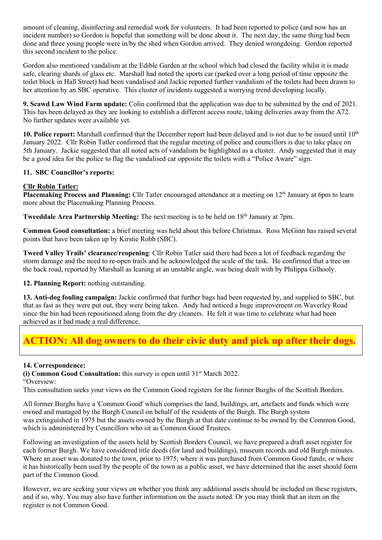amount of cleaning, disinfecting and remedial work for volunteers. It had been reported to police (and now has an incident number) so Gordon is hopeful that something will be done about it. The next day, the same thing had been done and three young people were in/by the shed when Gordon arrived. They denied wrongdoing. Gordon reported this second incident to the police.

Gordon also mentioned vandalism at the Edible Garden at the school which had closed the facility whilst it is made safe, clearing shards of glass etc. Marshall had noted the sports car (parked over a long period of time opposite the toilet block in Hall Street) had been vandalised and Jackie reported further vandalism of the toilets had been drawn to her attention by an SBC operative. This cluster of incidents suggested a worrying trend developing locally.

9. Scawd Law Wind Farm update: Colin confirmed that the application was due to be submitted by the end of 2021. This has been delayed as they are looking to establish a different access route, taking deliveries away from the A72. No further updates were available yet.

10. Police report: Marshall confirmed that the December report had been delayed and is not due to be issued until 10<sup>th</sup> January 2022. Cllr Robin Tatler confirmed that the regular meeting of police and councillors is due to take place on 5th January. Jackie suggested that all noted acts of vandalism be highlighted as a cluster. Andy suggested that it may be a good idea for the police to flag the vandalised car opposite the toilets with a "Police Aware" sign.

## 11. SBC Councillor's reports:

# Cllr Robin Tatler:

Placemaking Process and Planning: Cllr Tatler encouraged attendance at a meeting on 12<sup>th</sup> January at 6pm to learn more about the Placemaking Planning Process.

Tweeddale Area Partnership Meeting: The next meeting is to be held on 18<sup>th</sup> January at 7pm.

Common Good consultation: a brief meeting was held about this before Christmas. Ross McGinn has raised several points that have been taken up by Kirstie Robb (SBC).

Tweed Valley Trails' clearance/reopening: Cllr Robin Tatler said there had been a lot of feedback regarding the storm damage and the need to re-open trails and he acknowledged the scale of the task. He confirmed that a tree on the back road, reported by Marshall as leaning at an unstable angle, was being dealt with by Philippa Gilhooly.

12. Planning Report: nothing outstanding.

13. Anti-dog fouling campaign: Jackie confirmed that further bags had been requested by, and supplied to SBC, but that as fast as they were put out, they were being taken. Andy had noticed a huge improvement on Waverley Road since the bin had been repositioned along from the dry cleaners. He felt it was time to celebrate what had been achieved as it had made a real difference.

# ACTION: All dog owners to do their civic duty and pick up after their dogs.

## 14. Correspondence:

(i) Common Good Consultation: this survey is open until  $31<sup>st</sup>$  March 2022.

"Overview:

This consultation seeks your views on the Common Good registers for the former Burghs of the Scottish Borders.

All former Burghs have a 'Common Good' which comprises the land, buildings, art, artefacts and funds which were owned and managed by the Burgh Council on behalf of the residents of the Burgh. The Burgh system was extinguished in 1975 but the assets owned by the Burgh at that date continue to be owned by the Common Good, which is administered by Councillors who sit as Common Good Trustees.

Following an investigation of the assets held by Scottish Borders Council, we have prepared a draft asset register for each former Burgh. We have considered title deeds (for land and buildings), museum records and old Burgh minutes. Where an asset was donated to the town, prior to 1975; where it was purchased from Common Good funds; or where it has historically been used by the people of the town as a public asset, we have determined that the asset should form part of the Common Good.

However, we are seeking your views on whether you think any additional assets should be included on these registers, and if so, why. You may also have further information on the assets noted. Or you may think that an item on the register is not Common Good.